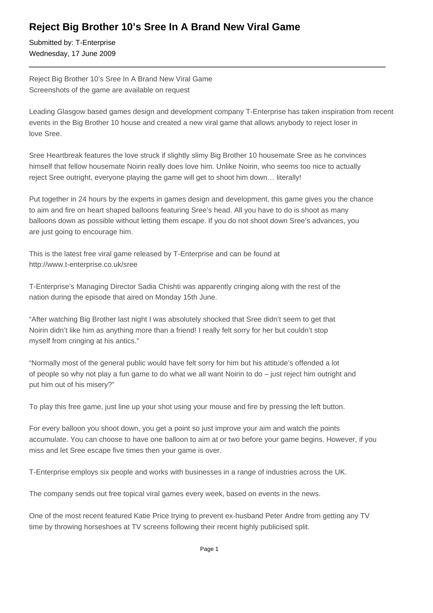## **Reject Big Brother 10's Sree In A Brand New Viral Game**

Submitted by: T-Enterprise Wednesday, 17 June 2009

Reject Big Brother 10's Sree In A Brand New Viral Game Screenshots of the game are available on request

Leading Glasgow based games design and development company T-Enterprise has taken inspiration from recent events in the Big Brother 10 house and created a new viral game that allows anybody to reject loser in love Sree.

Sree Heartbreak features the love struck if slightly slimy Big Brother 10 housemate Sree as he convinces himself that fellow housemate Noirin really does love him. Unlike Noirin, who seems too nice to actually reject Sree outright, everyone playing the game will get to shoot him down… literally!

Put together in 24 hours by the experts in games design and development, this game gives you the chance to aim and fire on heart shaped balloons featuring Sree's head. All you have to do is shoot as many balloons down as possible without letting them escape. If you do not shoot down Sree's advances, you are just going to encourage him.

This is the latest free viral game released by T-Enterprise and can be found at http://www.t-enterprise.co.uk/sree

T-Enterprise's Managing Director Sadia Chishti was apparently cringing along with the rest of the nation during the episode that aired on Monday 15th June.

"After watching Big Brother last night I was absolutely shocked that Sree didn't seem to get that Noirin didn't like him as anything more than a friend! I really felt sorry for her but couldn't stop myself from cringing at his antics."

"Normally most of the general public would have felt sorry for him but his attitude's offended a lot of people so why not play a fun game to do what we all want Noirin to do – just reject him outright and put him out of his misery?"

To play this free game, just line up your shot using your mouse and fire by pressing the left button.

For every balloon you shoot down, you get a point so just improve your aim and watch the points accumulate. You can choose to have one balloon to aim at or two before your game begins. However, if you miss and let Sree escape five times then your game is over.

T-Enterprise employs six people and works with businesses in a range of industries across the UK.

The company sends out free topical viral games every week, based on events in the news.

One of the most recent featured Katie Price trying to prevent ex-husband Peter Andre from getting any TV time by throwing horseshoes at TV screens following their recent highly publicised split.